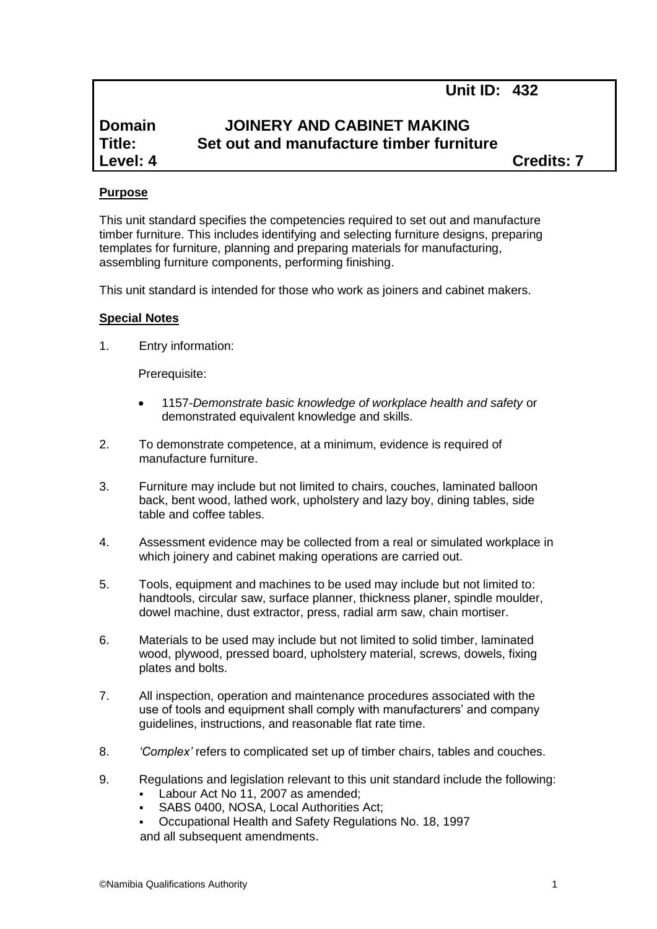# **Unit ID: 432**

# **Domain JOINERY AND CABINET MAKING Title: Set out and manufacture timber furniture Level: 4 Credits: 7**

#### **Purpose**

This unit standard specifies the competencies required to set out and manufacture timber furniture. This includes identifying and selecting furniture designs, preparing templates for furniture, planning and preparing materials for manufacturing, assembling furniture components, performing finishing.

This unit standard is intended for those who work as joiners and cabinet makers.

#### **Special Notes**

1. Entry information:

Prerequisite:

- 1157*-Demonstrate basic knowledge of workplace health and safety* or demonstrated equivalent knowledge and skills.
- 2. To demonstrate competence, at a minimum, evidence is required of manufacture furniture.
- 3. Furniture may include but not limited to chairs, couches, laminated balloon back, bent wood, lathed work, upholstery and lazy boy, dining tables, side table and coffee tables.
- 4. Assessment evidence may be collected from a real or simulated workplace in which joinery and cabinet making operations are carried out.
- 5. Tools, equipment and machines to be used may include but not limited to: handtools, circular saw, surface planner, thickness planer, spindle moulder, dowel machine, dust extractor, press, radial arm saw, chain mortiser.
- 6. Materials to be used may include but not limited to solid timber, laminated wood, plywood, pressed board, upholstery material, screws, dowels, fixing plates and bolts.
- 7. All inspection, operation and maintenance procedures associated with the use of tools and equipment shall comply with manufacturers' and company guidelines, instructions, and reasonable flat rate time.
- 8. *'Complex'* refers to complicated set up of timber chairs, tables and couches.
- 9. Regulations and legislation relevant to this unit standard include the following:
	- Labour Act No 11, 2007 as amended;
	- SABS 0400, NOSA, Local Authorities Act;
	- Occupational Health and Safety Regulations No. 18, 1997 and all subsequent amendments.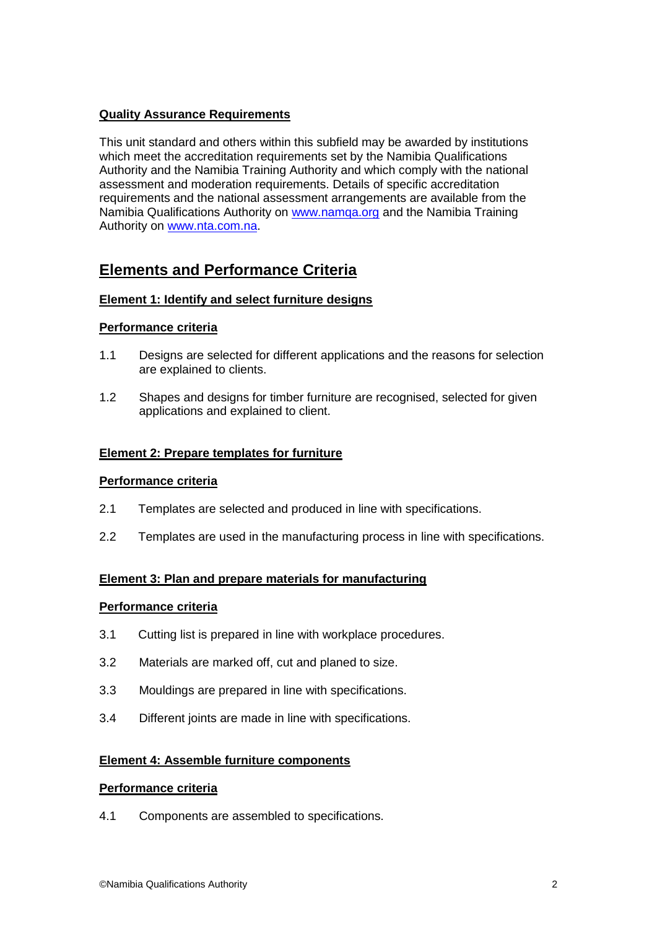## **Quality Assurance Requirements**

This unit standard and others within this subfield may be awarded by institutions which meet the accreditation requirements set by the Namibia Qualifications Authority and the Namibia Training Authority and which comply with the national assessment and moderation requirements. Details of specific accreditation requirements and the national assessment arrangements are available from the Namibia Qualifications Authority on [www.namqa.org](http://www.namqa.org/) and the Namibia Training Authority on [www.nta.com.na.](http://www.nta.com.na/)

# **Elements and Performance Criteria**

## **Element 1: Identify and select furniture designs**

## **Performance criteria**

- 1.1 Designs are selected for different applications and the reasons for selection are explained to clients.
- 1.2 Shapes and designs for timber furniture are recognised, selected for given applications and explained to client.

#### **Element 2: Prepare templates for furniture**

#### **Performance criteria**

- 2.1 Templates are selected and produced in line with specifications.
- 2.2 Templates are used in the manufacturing process in line with specifications.

## **Element 3: Plan and prepare materials for manufacturing**

#### **Performance criteria**

- 3.1 Cutting list is prepared in line with workplace procedures.
- 3.2 Materials are marked off, cut and planed to size.
- 3.3 Mouldings are prepared in line with specifications.
- 3.4 Different joints are made in line with specifications.

#### **Element 4: Assemble furniture components**

#### **Performance criteria**

4.1 Components are assembled to specifications.